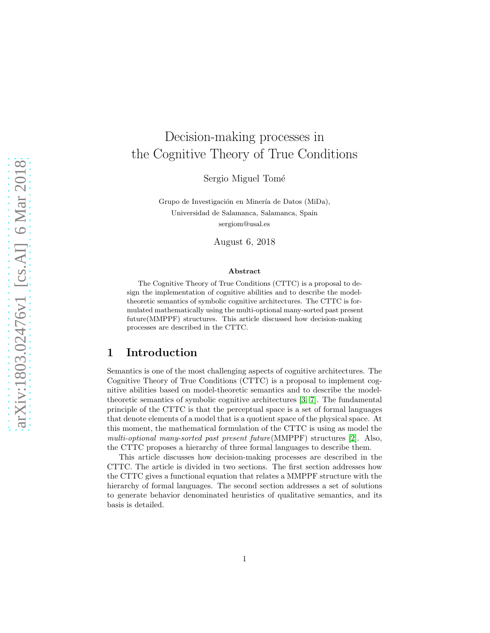# Decision-making processes in the Cognitive Theory of True Conditions

Sergio Miguel Tomé

Grupo de Investigación en Minería de Datos (MiDa), Universidad de Salamanca, Salamanca, Spain sergiom@usal.es

August 6, 2018

#### Abstract

The Cognitive Theory of True Conditions (CTTC) is a proposal to design the implementation of cognitive abilities and to describe the modeltheoretic semantics of symbolic cognitive architectures. The CTTC is formulated mathematically using the multi-optional many-sorted past present future(MMPPF) structures. This article discussed how decision-making processes are described in the CTTC.

## 1 Introduction

Semantics is one of the most challenging aspects of cognitive architectures. The Cognitive Theory of True Conditions (CTTC) is a proposal to implement cognitive abilities based on model-theoretic semantics and to describe the modeltheoretic semantics of symbolic cognitive architectures [\[3,](#page-4-0) [7\]](#page-4-1). The fundamental principle of the CTTC is that the perceptual space is a set of formal languages that denote elements of a model that is a quotient space of the physical space. At this moment, the mathematical formulation of the CTTC is using as model the multi-optional many-sorted past present future(MMPPF) structures [\[2\]](#page-4-2). Also, the CTTC proposes a hierarchy of three formal languages to describe them.

This article discusses how decision-making processes are described in the CTTC. The article is divided in two sections. The first section addresses how the CTTC gives a functional equation that relates a MMPPF structure with the hierarchy of formal languages. The second section addresses a set of solutions to generate behavior denominated heuristics of qualitative semantics, and its basis is detailed.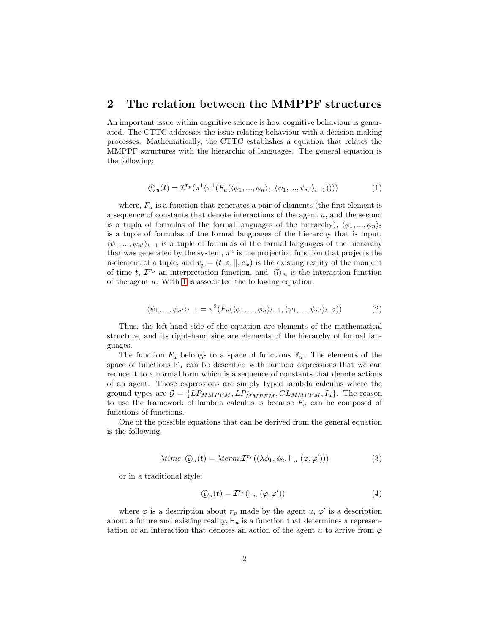#### 2 The relation between the MMPPF structures

An important issue within cognitive science is how cognitive behaviour is generated. The CTTC addresses the issue relating behaviour with a decision-making processes. Mathematically, the CTTC establishes a equation that relates the MMPPF structures with the hierarchic of languages. The general equation is the following:

<span id="page-1-0"></span>
$$
\textcircled{\scriptsize{1}}(t) = \mathcal{I}^{r_p}(\pi^1(\pi^1(F_u(\langle \phi_1, ..., \phi_n \rangle_t, \langle \psi_1, ..., \psi_{n'} \rangle_{t-1})))) \tag{1}
$$

where,  $F_u$  is a function that generates a pair of elements (the first element is a sequence of constants that denote interactions of the agent  $u$ , and the second is a tupla of formulas of the formal languages of the hierarchy),  $\langle \phi_1, ..., \phi_n \rangle_t$ is a tuple of formulas of the formal languages of the hierarchy that is input,  $\langle \psi_1, ..., \psi_{n'} \rangle_{t-1}$  is a tuple of formulas of the formal languages of the hierarchy that was generated by the system,  $\pi^n$  is the projection function that projects the n-element of a tuple, and  $r_p = (t, \varepsilon, ||, e_x)$  is the existing reality of the moment of time  $t, T^{r_p}$  an interpretation function, and  $\theta_u$  is the interaction function of the agent  $u$ . With [1](#page-1-0) is associated the following equation:

$$
\langle \psi_1, ..., \psi_{n'} \rangle_{t-1} = \pi^2(F_u(\langle \phi_1, ..., \phi_n \rangle_{t-1}, \langle \psi_1, ..., \psi_{n'} \rangle_{t-2}))
$$
(2)

Thus, the left-hand side of the equation are elements of the mathematical structure, and its right-hand side are elements of the hierarchy of formal languages.

The function  $F_u$  belongs to a space of functions  $\mathbb{F}_u$ . The elements of the space of functions  $\mathbb{F}_u$  can be described with lambda expressions that we can reduce it to a normal form which is a sequence of constants that denote actions of an agent. Those expressions are simply typed lambda calculus where the ground types are  $G = \{LP_{MMPFM}, LP^*_{MMPFM}, CL_{MMPFM}, I_u\}$ . The reason to use the framework of lambda calculus is because  $F_u$  can be composed of functions of functions.

One of the possible equations that can be derived from the general equation is the following:

$$
\lambda time. \text{ } \textcircled{i}_{u}(t) = \lambda term. \mathcal{I}^{r_{p}}((\lambda \phi_{1}, \phi_{2}, \vdash_{u} (\varphi, \varphi')))
$$
 (3)

or in a traditional style:

<span id="page-1-2"></span><span id="page-1-1"></span>
$$
\textcircled{1}_u(t) = \mathcal{I}^{r_p}(\vdash_u (\varphi, \varphi')) \tag{4}
$$

where  $\varphi$  is a description about  $r_p$  made by the agent  $u, \varphi'$  is a description about a future and existing reality,  $\vdash_u$  is a function that determines a representation of an interaction that denotes an action of the agent u to arrive from  $\varphi$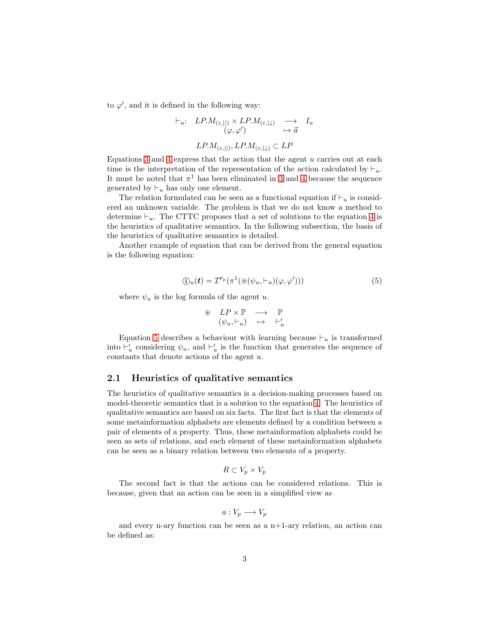to  $\varphi'$ , and it is defined in the following way:

$$
\vdash_u: \quad LP.M_{(\varepsilon,||)} \times LP.M_{(\varepsilon,|\downarrow)} \quad \longrightarrow \quad I_u
$$

$$
(\varphi, \varphi') \qquad \mapsto \vec{a}
$$

$$
LP.M_{(\varepsilon,||)}, LP.M_{(\varepsilon,|\downarrow)} \subset LP
$$

Equations [3](#page-1-1) and [4](#page-1-2) express that the action that the agent  $u$  carries out at each time is the interpretation of the representation of the action calculated by  $\vdash_u$ . It must be noted that  $\pi^1$  has been eliminated in [3](#page-1-1) and [4](#page-1-2) because the sequence generated by  $\vdash_u$  has only one element.

The relation formulated can be seen as a functional equation if  $\vdash_u$  is considered an unknown variable. The problem is that we do not know a method to determine  $\vdash_u$ . The CTTC proposes that a set of solutions to the equation [4](#page-1-2) is the heuristics of qualitative semantics. In the following subsection, the basis of the heuristics of qualitative semantics is detailed.

Another example of equation that can be derived from the general equation is the following equation:

$$
\textcircled{1}_u(t) = \mathcal{I}^{r_p}(\pi^1(\circledast(\psi_u, \vdash_u)(\varphi, \varphi')))
$$
\n<sup>(5)</sup>

where  $\psi_u$  is the log formula of the agent u.

<span id="page-2-0"></span>
$$
\begin{array}{rcl}\n\circledast & LP \times \mathbb{P} & \longrightarrow & \mathbb{P} \\
(\psi_u, \vdash_u) & \mapsto & \vdash'_u\n\end{array}
$$

Equation [5](#page-2-0) describes a behaviour with learning because  $\vdash_u$  is transformed into  $\vdash'_u$  considering  $\psi_u$ , and  $\vdash'_u$  is the function that generates the sequence of constants that denote actions of the agent  $u$ .

#### 2.1 Heuristics of qualitative semantics

The heuristics of qualitative semantics is a decision-making processes based on model-theoretic semantics that is a solution to the equation [4.](#page-1-2) The heuristics of qualitative semantics are based on six facts. The first fact is that the elements of some metainformation alphabets are elements defined by a condition between a pair of elements of a property. Thus, these metainformation alphabets could be seen as sets of relations, and each element of these metainformation alphabets can be seen as a binary relation between two elements of a property.

$$
R \subset V_p \times V_p
$$

The second fact is that the actions can be considered relations. This is because, given that an action can be seen in a simplified view as

$$
a: V_p \longrightarrow V_p
$$

and every n-ary function can be seen as a  $n+1$ -ary relation, an action can be defined as: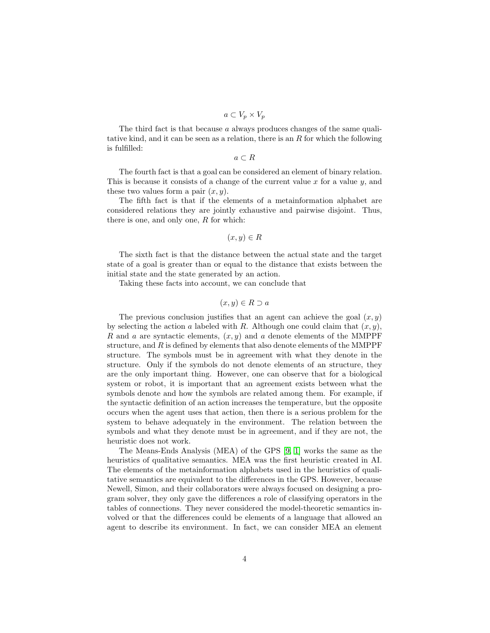$$
a \subset V_p \times V_p
$$

The third fact is that because a always produces changes of the same qualitative kind, and it can be seen as a relation, there is an  $R$  for which the following is fulfilled:

 $a \subset R$ 

The fourth fact is that a goal can be considered an element of binary relation. This is because it consists of a change of the current value x for a value  $y$ , and these two values form a pair  $(x, y)$ .

The fifth fact is that if the elements of a metainformation alphabet are considered relations they are jointly exhaustive and pairwise disjoint. Thus, there is one, and only one,  $R$  for which:

$$
(x, y) \in R
$$

The sixth fact is that the distance between the actual state and the target state of a goal is greater than or equal to the distance that exists between the initial state and the state generated by an action.

Taking these facts into account, we can conclude that

$$
(x, y) \in R \supset a
$$

The previous conclusion justifies that an agent can achieve the goal  $(x, y)$ by selecting the action a labeled with R. Although one could claim that  $(x, y)$ , R and a are syntactic elements,  $(x, y)$  and a denote elements of the MMPPF structure, and  $R$  is defined by elements that also denote elements of the MMPPF structure. The symbols must be in agreement with what they denote in the structure. Only if the symbols do not denote elements of an structure, they are the only important thing. However, one can observe that for a biological system or robot, it is important that an agreement exists between what the symbols denote and how the symbols are related among them. For example, if the syntactic definition of an action increases the temperature, but the opposite occurs when the agent uses that action, then there is a serious problem for the system to behave adequately in the environment. The relation between the symbols and what they denote must be in agreement, and if they are not, the heuristic does not work.

The Means-Ends Analysis (MEA) of the GPS [\[9,](#page-4-3) [1\]](#page-4-4) works the same as the heuristics of qualitative semantics. MEA was the first heuristic created in AI. The elements of the metainformation alphabets used in the heuristics of qualitative semantics are equivalent to the differences in the GPS. However, because Newell, Simon, and their collaborators were always focused on designing a program solver, they only gave the differences a role of classifying operators in the tables of connections. They never considered the model-theoretic semantics involved or that the differences could be elements of a language that allowed an agent to describe its environment. In fact, we can consider MEA an element